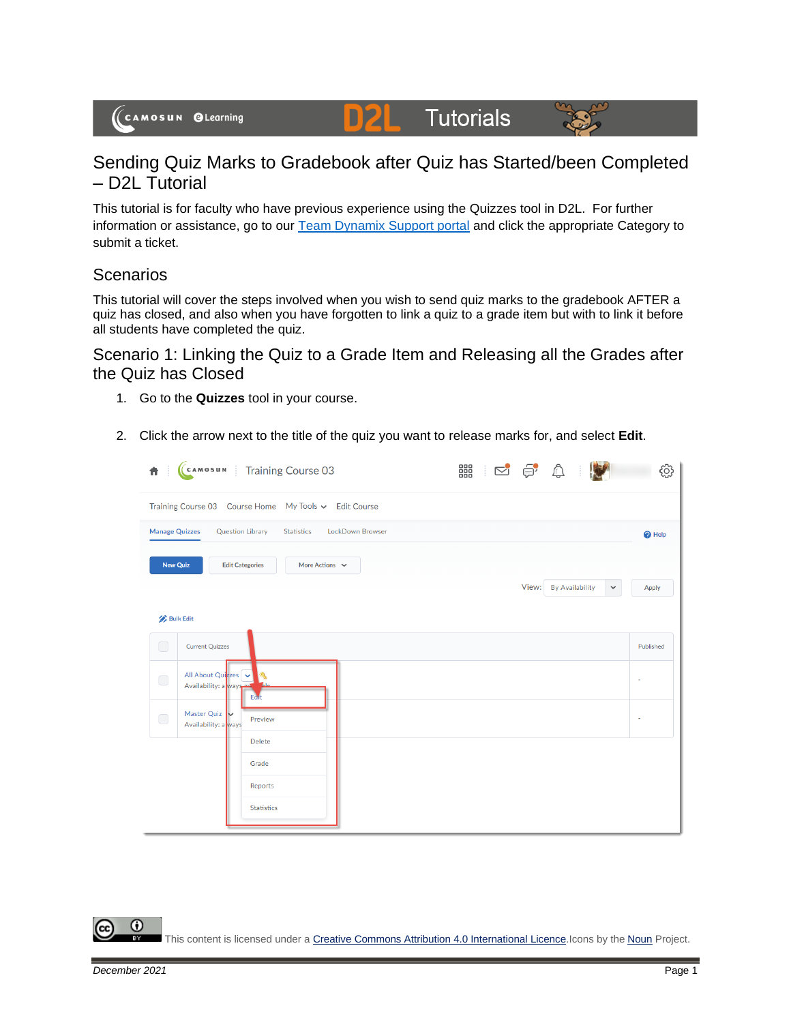## **Tutorials**



## Sending Quiz Marks to Gradebook after Quiz has Started/been Completed – D2L Tutorial

D

This tutorial is for faculty who have previous experience using the Quizzes tool in D2L. For further information or assistance, go to our [Team Dynamix Support portal](https://camosun.teamdynamix.com/TDClient/67/Portal/Requests/ServiceCatalog?CategoryID=523) and click the appropriate Category to submit a ticket.

## **Scenarios**

This tutorial will cover the steps involved when you wish to send quiz marks to the gradebook AFTER a quiz has closed, and also when you have forgotten to link a quiz to a grade item but with to link it before all students have completed the quiz.

Scenario 1: Linking the Quiz to a Grade Item and Releasing all the Grades after the Quiz has Closed

- 1. Go to the **Quizzes** tool in your course.
- 2. Click the arrow next to the title of the quiz you want to release marks for, and select **Edit**.

| Ħ                                                        | CAMOSUN Training Course 03                                       | 器 2 2 4                               | දුරි}             |  |  |  |  |  |
|----------------------------------------------------------|------------------------------------------------------------------|---------------------------------------|-------------------|--|--|--|--|--|
| Training Course 03  Course Home  My Tools v  Edit Course |                                                                  |                                       |                   |  |  |  |  |  |
| <b>Manage Quizzes</b>                                    | <b>Question Library</b><br><b>LockDown Browser</b><br>Statistics |                                       | <sup>O</sup> Help |  |  |  |  |  |
| <b>New Quiz</b>                                          | <b>Edit Categories</b><br>More Actions $\vee$                    |                                       |                   |  |  |  |  |  |
|                                                          |                                                                  | View: By Availability<br>$\checkmark$ | Apply             |  |  |  |  |  |
| <b>Bulk Edit</b>                                         |                                                                  |                                       |                   |  |  |  |  |  |
| $\bigcirc$                                               | <b>Current Quizzes</b>                                           |                                       | Published         |  |  |  |  |  |
| $\bigcirc$                                               | All About Quizzes<br>Availability: a ways<br>Eart                |                                       |                   |  |  |  |  |  |
| $\bigcirc$                                               | Master Quiz<br>Preview<br>Availability: a ways                   |                                       |                   |  |  |  |  |  |
|                                                          | <b>Delete</b>                                                    |                                       |                   |  |  |  |  |  |
|                                                          | Grade<br>Reports                                                 |                                       |                   |  |  |  |  |  |
|                                                          | <b>Statistics</b>                                                |                                       |                   |  |  |  |  |  |

G This content is licensed under [a Creative Commons Attribution 4.0 International Licence.I](https://creativecommons.org/licenses/by/4.0/)cons by the [Noun](https://creativecommons.org/website-icons/) Project.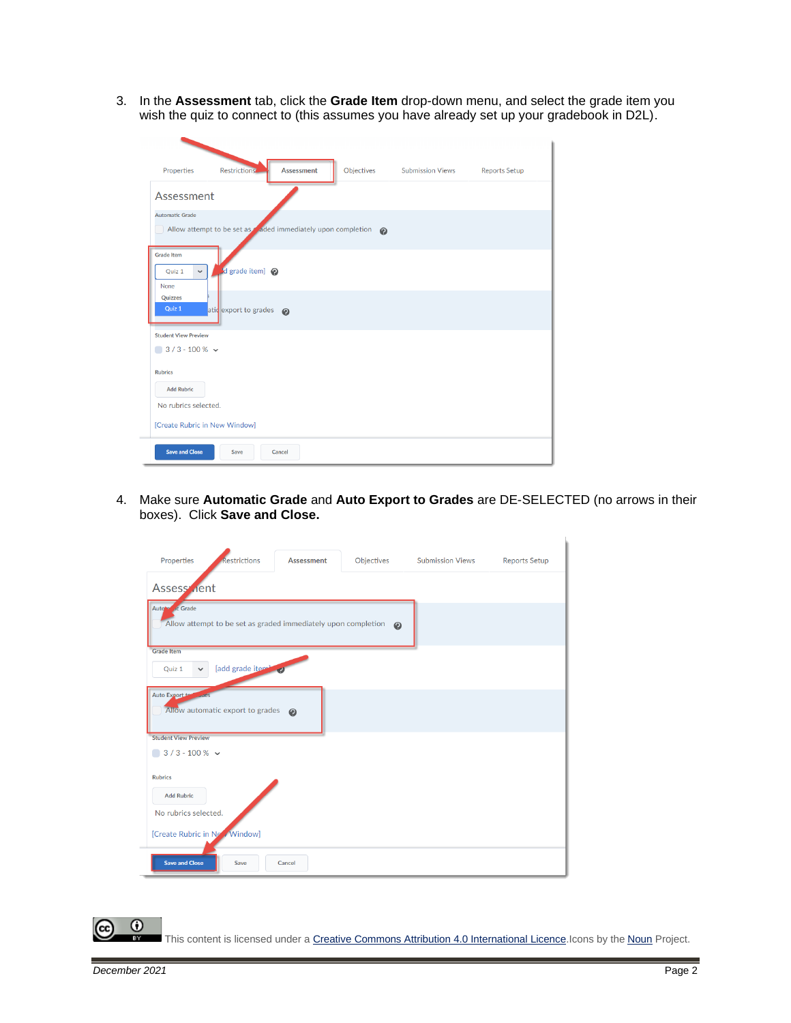3. In the **Assessment** tab, click the **Grade Item** drop-down menu, and select the grade item you wish the quiz to connect to (this assumes you have already set up your gradebook in D2L).

| Properties                                                | <b>Restrictions</b>                                                 | <b>Assessment</b>     | Objectives | <b>Submission Views</b> | <b>Reports Setup</b> |
|-----------------------------------------------------------|---------------------------------------------------------------------|-----------------------|------------|-------------------------|----------------------|
| Assessment                                                |                                                                     |                       |            |                         |                      |
| <b>Automatic Grade</b>                                    | Allow attempt to be set as aded immediately upon completion $\odot$ |                       |            |                         |                      |
| <b>Grade Item</b><br>Quiz 1<br>$\checkmark$<br>None       | d grade item] @                                                     |                       |            |                         |                      |
| Quizzes<br>Quiz 1                                         | atid export to grades                                               | $\boldsymbol{\Omega}$ |            |                         |                      |
| <b>Student View Preview</b><br>$\bigcirc$ 3/3-100% $\vee$ |                                                                     |                       |            |                         |                      |
| <b>Rubrics</b><br><b>Add Rubric</b>                       |                                                                     |                       |            |                         |                      |
| No rubrics selected.<br>[Create Rubric in New Window]     |                                                                     |                       |            |                         |                      |
| <b>Save and Close</b>                                     | Save                                                                | Cancel                |            |                         |                      |

4. Make sure **Automatic Grade** and **Auto Export to Grades** are DE-SELECTED (no arrows in their boxes). Click **Save and Close.**

| Properties                                                  | Restrictions                     | <b>Assessment</b>                                             | Objectives | <b>Submission Views</b> | <b>Reports Setup</b> |
|-------------------------------------------------------------|----------------------------------|---------------------------------------------------------------|------------|-------------------------|----------------------|
| <b>Assess</b> <i><b>nent</b></i>                            |                                  |                                                               |            |                         |                      |
| Auto <sup>lo</sup> dc Grade                                 |                                  | Allow attempt to be set as graded immediately upon completion | $\odot$    |                         |                      |
| <b>Grade Item</b><br>Quiz 1<br>$\checkmark$                 | [add grade item]                 |                                                               |            |                         |                      |
| <b>Auto Export to</b><br>$1$                                | Allow automatic export to grades | $\odot$                                                       |            |                         |                      |
| <b>Student View Preview</b><br>$\bigcirc$ 3/3-100% $\vee$   |                                  |                                                               |            |                         |                      |
| <b>Rubrics</b><br><b>Add Rubric</b><br>No rubrics selected. |                                  |                                                               |            |                         |                      |
| [Create Rubric in New Window]                               |                                  |                                                               |            |                         |                      |
| <b>Save and Close</b>                                       | Save                             | Cancel                                                        |            |                         |                      |

This content is licensed under [a Creative Commons Attribution 4.0 International Licence.I](https://creativecommons.org/licenses/by/4.0/)cons by the [Noun](https://creativecommons.org/website-icons/) Project.

 $\odot$ 

₹

(cc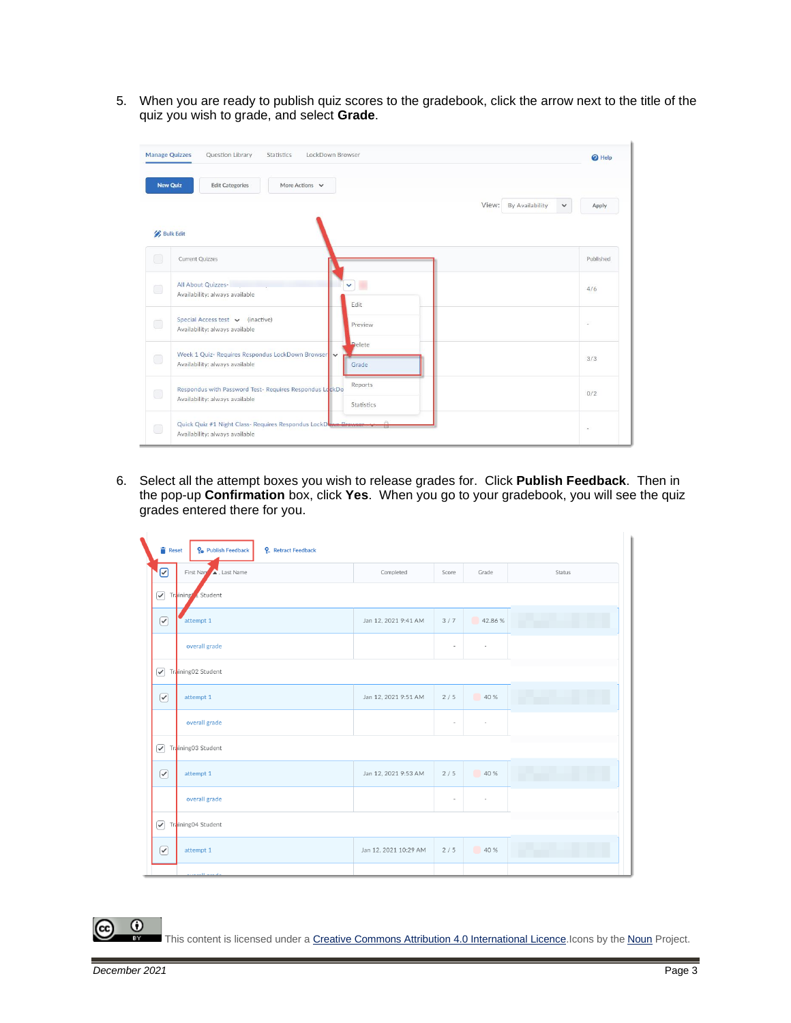5. When you are ready to publish quiz scores to the gradebook, click the arrow next to the title of the quiz you wish to grade, and select **Grade**.

|                                                               | Question Library<br>LockDown Browser<br><b>Manage Quizzes</b><br>Statistics        |                       | <sup>O</sup> Help     |
|---------------------------------------------------------------|------------------------------------------------------------------------------------|-----------------------|-----------------------|
| <b>New Quiz</b>                                               | More Actions $\vee$<br><b>Edit Categories</b>                                      |                       |                       |
|                                                               |                                                                                    | View: By Availability | $\checkmark$<br>Apply |
|                                                               | <b>Bulk Edit</b>                                                                   |                       |                       |
| $\Box$                                                        | <b>Current Quizzes</b>                                                             |                       | Published             |
| $\Box$                                                        | All About Quizzes-<br>Availability: always available                               | $\checkmark$          | 4/6                   |
|                                                               |                                                                                    | Edit                  |                       |
| $\Box$                                                        | Special Access test v (inactive)<br>Availability: always available                 | Preview               | ÷                     |
|                                                               |                                                                                    | <b>Delete</b>         |                       |
| $\bigcirc$                                                    | Week 1 Quiz- Requires Respondus LockDown Browser<br>Availability: always available | Grade                 | 3/3                   |
| $\begin{pmatrix} 1 & 1 \\ 1 & 1 \end{pmatrix}$                | Respondus with Password Test- Requires Respondus LockDo                            | Reports               | 0/2                   |
|                                                               | Availability: always available                                                     | Statistics            |                       |
| Quick Quiz #1 Night Class- Requires Respondus LockDown-Browse |                                                                                    |                       |                       |
| $\Box$                                                        | Availability: always available                                                     |                       | $\sim$                |

6. Select all the attempt boxes you wish to release grades for. Click **Publish Feedback**. Then in the pop-up **Confirmation** box, click **Yes**. When you go to your gradebook, you will see the quiz grades entered there for you.

| P <sub>o</sub> Publish Feedback<br>Reset<br><b>P</b> . Retract Feedback |                       |                          |                          |        |  |  |  |  |
|-------------------------------------------------------------------------|-----------------------|--------------------------|--------------------------|--------|--|--|--|--|
| ☑<br>First Name A. Last Name                                            | Completed             | Score                    | Grade                    | Status |  |  |  |  |
| Trining Student                                                         |                       |                          |                          |        |  |  |  |  |
| $\left[\right.$<br>attempt 1                                            | Jan 12, 2021 9:41 AM  | 3/7                      | 42.86 %                  |        |  |  |  |  |
| overall grade                                                           |                       | $\overline{\phantom{a}}$ | $\overline{\phantom{a}}$ |        |  |  |  |  |
| $\blacktriangledown$<br>Training02 Student                              |                       |                          |                          |        |  |  |  |  |
| $\boxed{\mathcal{C}}$<br>attempt 1                                      | Jan 12, 2021 9:51 AM  | 2/5                      | 40 %                     |        |  |  |  |  |
| overall grade                                                           |                       | $\overline{\phantom{a}}$ | $\overline{\phantom{a}}$ |        |  |  |  |  |
| ☑<br>Training03 Student                                                 |                       |                          |                          |        |  |  |  |  |
| $\Theta$<br>attempt 1                                                   | Jan 12, 2021 9:53 AM  | 2/5                      | 40 %                     |        |  |  |  |  |
| overall grade                                                           |                       | $\overline{\phantom{a}}$ | $\overline{\phantom{a}}$ |        |  |  |  |  |
| Trining04 Student                                                       |                       |                          |                          |        |  |  |  |  |
| $\curvearrowright$<br>attempt 1                                         | Jan 12, 2021 10:29 AM | 2/5                      | 40 %                     |        |  |  |  |  |
| باستعمالهم                                                              |                       |                          |                          |        |  |  |  |  |

This content is licensed under [a Creative Commons Attribution 4.0 International Licence.I](https://creativecommons.org/licenses/by/4.0/)cons by the [Noun](https://creativecommons.org/website-icons/) Project.

 $\odot$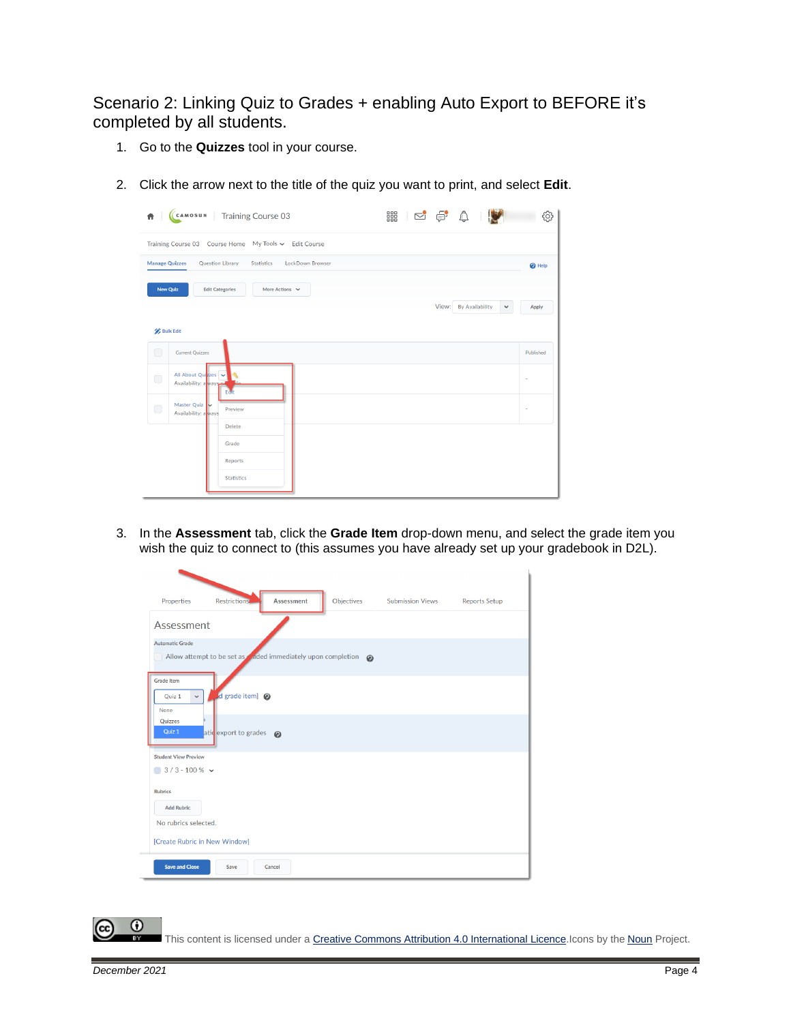Scenario 2: Linking Quiz to Grades + enabling Auto Export to BEFORE it's completed by all students.

- 1. Go to the **Quizzes** tool in your course.
- 2. Click the arrow next to the title of the quiz you want to print, and select **Edit**.

| CCAMOSUN Training Course 03<br>器 250 0<br>$\hat{\mathbf{n}}$                                | က္လ                   |  |  |  |  |  |  |  |
|---------------------------------------------------------------------------------------------|-----------------------|--|--|--|--|--|--|--|
| Training Course 03 Course Home My Tools v Edit Course                                       |                       |  |  |  |  |  |  |  |
| <b>Manage Quizzes</b><br>LockDown Browser<br>Question Library<br>Statistics<br>$\odot$ Help |                       |  |  |  |  |  |  |  |
| <b>New Quiz</b><br><b>Edit Categories</b><br>More Actions $\sim$                            |                       |  |  |  |  |  |  |  |
| View: By Availability                                                                       | Apply<br>$\checkmark$ |  |  |  |  |  |  |  |
| <b>Bulk Edit</b>                                                                            |                       |  |  |  |  |  |  |  |
| $\Box$<br><b>Current Quizzes</b>                                                            | Published             |  |  |  |  |  |  |  |
| All About Quizzes<br>$\bigcirc$<br>Availability: a ways<br>Eart                             |                       |  |  |  |  |  |  |  |
| Master Quiz<br>$\Box$<br>Preview<br>Availability: a ways                                    |                       |  |  |  |  |  |  |  |
| <b>Delete</b>                                                                               |                       |  |  |  |  |  |  |  |
| Grade                                                                                       |                       |  |  |  |  |  |  |  |
| Reports<br><b>Statistics</b>                                                                |                       |  |  |  |  |  |  |  |

3. In the **Assessment** tab, click the **Grade Item** drop-down menu, and select the grade item you wish the quiz to connect to (this assumes you have already set up your gradebook in D2L).

| Properties                                            | <b>Restrictions</b>                                                                 | <b>Assessment</b>     | Objectives | <b>Submission Views</b> | <b>Reports Setup</b> |
|-------------------------------------------------------|-------------------------------------------------------------------------------------|-----------------------|------------|-------------------------|----------------------|
| Assessment                                            |                                                                                     |                       |            |                         |                      |
| <b>Automatic Grade</b>                                | Allow attempt to be set as $\triangleleft$ aded immediately upon completion $\odot$ |                       |            |                         |                      |
| <b>Grade Item</b><br>Quiz 1<br>$\checkmark$<br>None   | d grade item] @                                                                     |                       |            |                         |                      |
| Quizzes<br>Quiz 1                                     | atid export to grades                                                               | $\boldsymbol{\Omega}$ |            |                         |                      |
| <b>Student View Preview</b><br>$3/3 - 100 \%$ $\sim$  |                                                                                     |                       |            |                         |                      |
| <b>Rubrics</b><br><b>Add Rubric</b>                   |                                                                                     |                       |            |                         |                      |
| No rubrics selected.<br>[Create Rubric in New Window] |                                                                                     |                       |            |                         |                      |
| <b>Save and Close</b>                                 | Save                                                                                | Cancel                |            |                         |                      |

This content is licensed under [a Creative Commons Attribution 4.0 International Licence.I](https://creativecommons.org/licenses/by/4.0/)cons by the [Noun](https://creativecommons.org/website-icons/) Project.

⋒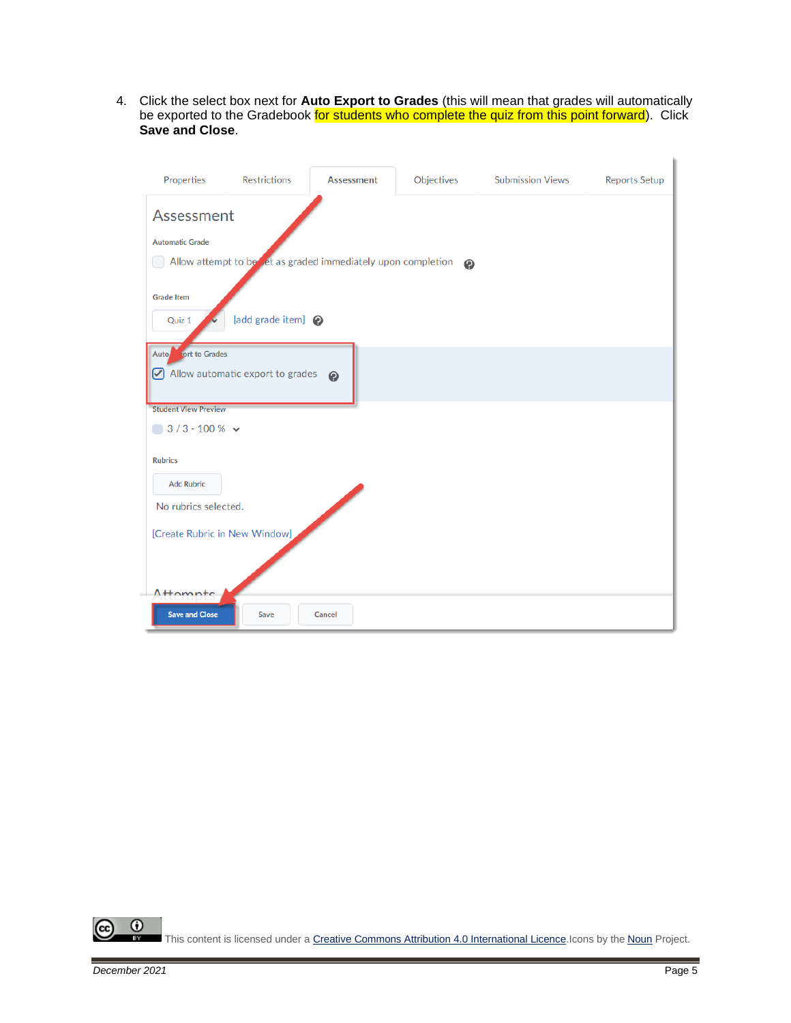4. Click the select box next for **Auto Export to Grades** (this will mean that grades will automatically be exported to the Gradebook for students who complete the quiz from this point forward). Click **Save and Close**.

| Properties                     | <b>Restrictions</b>              | <b>Assessment</b>                                             | Objectives | <b>Submission Views</b> | <b>Reports Setup</b> |
|--------------------------------|----------------------------------|---------------------------------------------------------------|------------|-------------------------|----------------------|
| Assessment                     |                                  |                                                               |            |                         |                      |
| <b>Automatic Grade</b>         |                                  |                                                               |            |                         |                      |
|                                |                                  | Allow attempt to be let as graded immediately upon completion | ◉          |                         |                      |
|                                |                                  |                                                               |            |                         |                      |
| <b>Grade Item</b>              |                                  |                                                               |            |                         |                      |
| Quiz 1                         | [add grade item] @               |                                                               |            |                         |                      |
| <b>Nort to Grades</b><br>Auto/ |                                  |                                                               |            |                         |                      |
|                                | Allow automatic export to grades | $\boldsymbol{\Theta}$                                         |            |                         |                      |
|                                |                                  |                                                               |            |                         |                      |
| <b>Student View Preview</b>    |                                  |                                                               |            |                         |                      |
| $3/3 - 100 \%$ $\sim$          |                                  |                                                               |            |                         |                      |
| <b>Rubrics</b>                 |                                  |                                                               |            |                         |                      |
|                                |                                  |                                                               |            |                         |                      |
| <b>Add Rubric</b>              |                                  |                                                               |            |                         |                      |
| No rubrics selected.           |                                  |                                                               |            |                         |                      |
| [Create Rubric in New Window]  |                                  |                                                               |            |                         |                      |
|                                |                                  |                                                               |            |                         |                      |
|                                |                                  |                                                               |            |                         |                      |
| $A$ <sup>Homntc</sup>          |                                  |                                                               |            |                         |                      |
| <b>Save and Close</b>          | Save                             | Cancel                                                        |            |                         |                      |

 $\overline{0}$ (cc This content is licensed under [a Creative Commons Attribution 4.0 International Licence.I](https://creativecommons.org/licenses/by/4.0/)cons by the [Noun](https://creativecommons.org/website-icons/) Project.